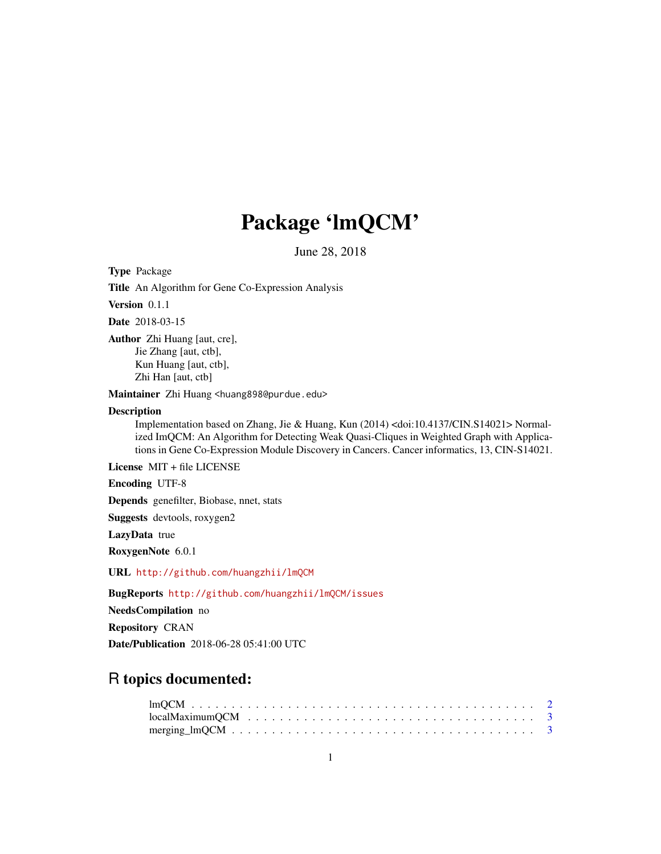## Package 'lmQCM'

June 28, 2018

Type Package

Title An Algorithm for Gene Co-Expression Analysis

Version 0.1.1

Date 2018-03-15

Author Zhi Huang [aut, cre], Jie Zhang [aut, ctb], Kun Huang [aut, ctb], Zhi Han [aut, ctb]

Maintainer Zhi Huang <huang898@purdue.edu>

### Description

Implementation based on Zhang, Jie & Huang, Kun (2014) <doi:10.4137/CIN.S14021> Normalized ImQCM: An Algorithm for Detecting Weak Quasi-Cliques in Weighted Graph with Applications in Gene Co-Expression Module Discovery in Cancers. Cancer informatics, 13, CIN-S14021.

License MIT + file LICENSE

Encoding UTF-8

Depends genefilter, Biobase, nnet, stats

Suggests devtools, roxygen2

LazyData true

RoxygenNote 6.0.1

URL <http://github.com/huangzhii/lmQCM>

BugReports <http://github.com/huangzhii/lmQCM/issues>

NeedsCompilation no

Repository CRAN

Date/Publication 2018-06-28 05:41:00 UTC

### R topics documented: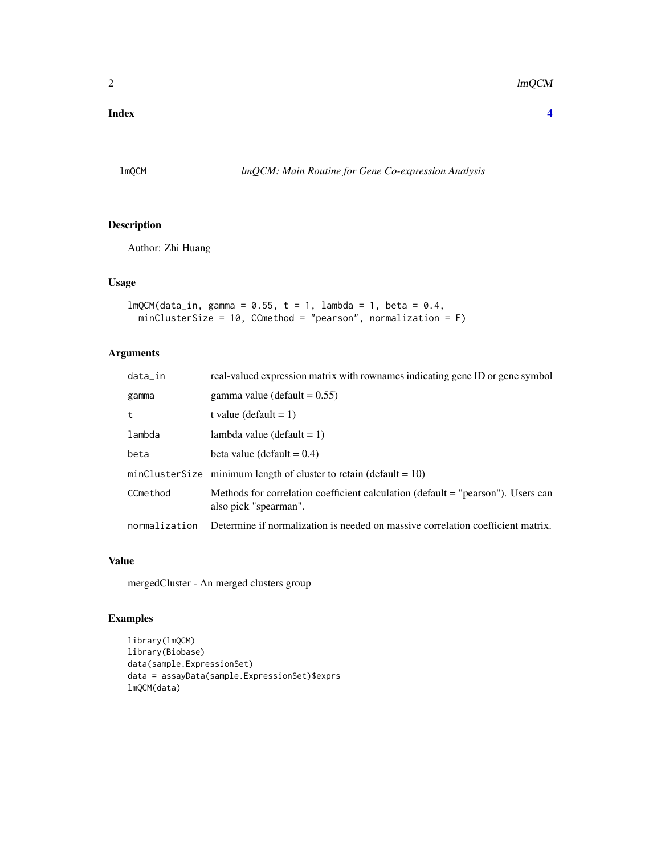### <span id="page-1-0"></span>**Index** [4](#page-3-0)

### lmQCM *lmQCM: Main Routine for Gene Co-expression Analysis*

### Description

Author: Zhi Huang

### Usage

```
lmQCM(data_in, gamma = 0.55, t = 1, lambda = 1, beta = 0.4,minClusterSize = 10, CCmethod = "pearson", normalization = F)
```
### Arguments

| data_in       | real-valued expression matrix with rownames indicating gene ID or gene symbol                             |
|---------------|-----------------------------------------------------------------------------------------------------------|
| gamma         | gamma value (default $= 0.55$ )                                                                           |
| t             | t value (default = 1)                                                                                     |
| lambda        | lambda value (default $= 1$ )                                                                             |
| beta          | beta value (default $= 0.4$ )                                                                             |
|               | minClusterSize minimum length of cluster to retain (default = $10$ )                                      |
| CCmethod      | Methods for correlation coefficient calculation (default = "pearson"). Users can<br>also pick "spearman". |
| normalization | Determine if normalization is needed on massive correlation coefficient matrix.                           |

### Value

mergedCluster - An merged clusters group

### Examples

```
library(lmQCM)
library(Biobase)
data(sample.ExpressionSet)
data = assayData(sample.ExpressionSet)$exprs
lmQCM(data)
```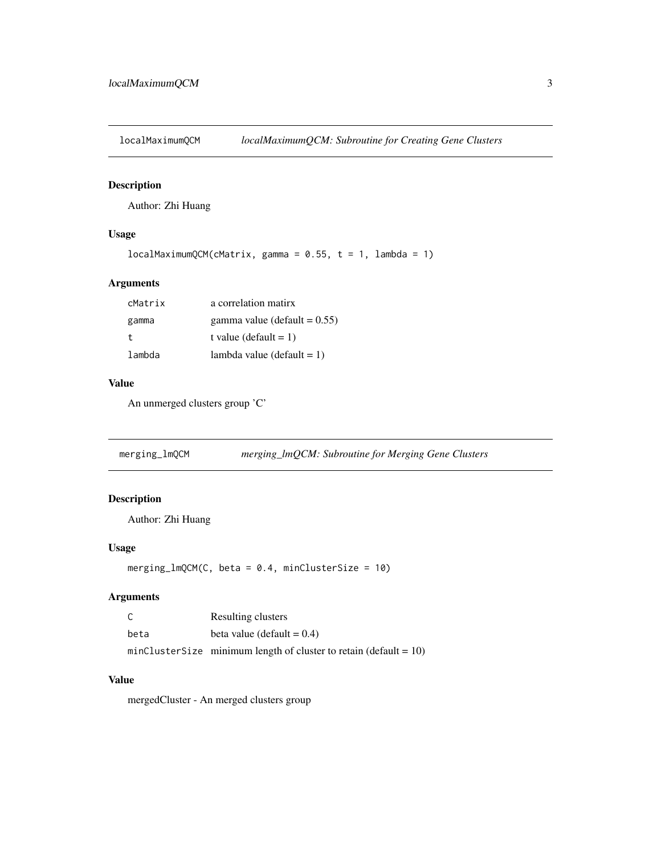<span id="page-2-0"></span>

### Description

Author: Zhi Huang

### Usage

```
localMaximumQCM(CAatrix, gamma = 0.55, t = 1, lambda = 1)
```
### Arguments

| cMatrix | a correlation matirx            |
|---------|---------------------------------|
| gamma   | gamma value (default $= 0.55$ ) |
| t.      | t value (default = 1)           |
| lambda  | lambda value (default $= 1$ )   |

### Value

An unmerged clusters group 'C'

merging\_lmQCM *merging\_lmQCM: Subroutine for Merging Gene Clusters*

### Description

Author: Zhi Huang

### Usage

 $merging\_lmQCM(C, beta = 0.4, minClusterSize = 10)$ 

### Arguments

| - C  | Resulting clusters                                                   |
|------|----------------------------------------------------------------------|
| beta | beta value (default $= 0.4$ )                                        |
|      | minClusterSize minimum length of cluster to retain (default = $10$ ) |

### Value

mergedCluster - An merged clusters group